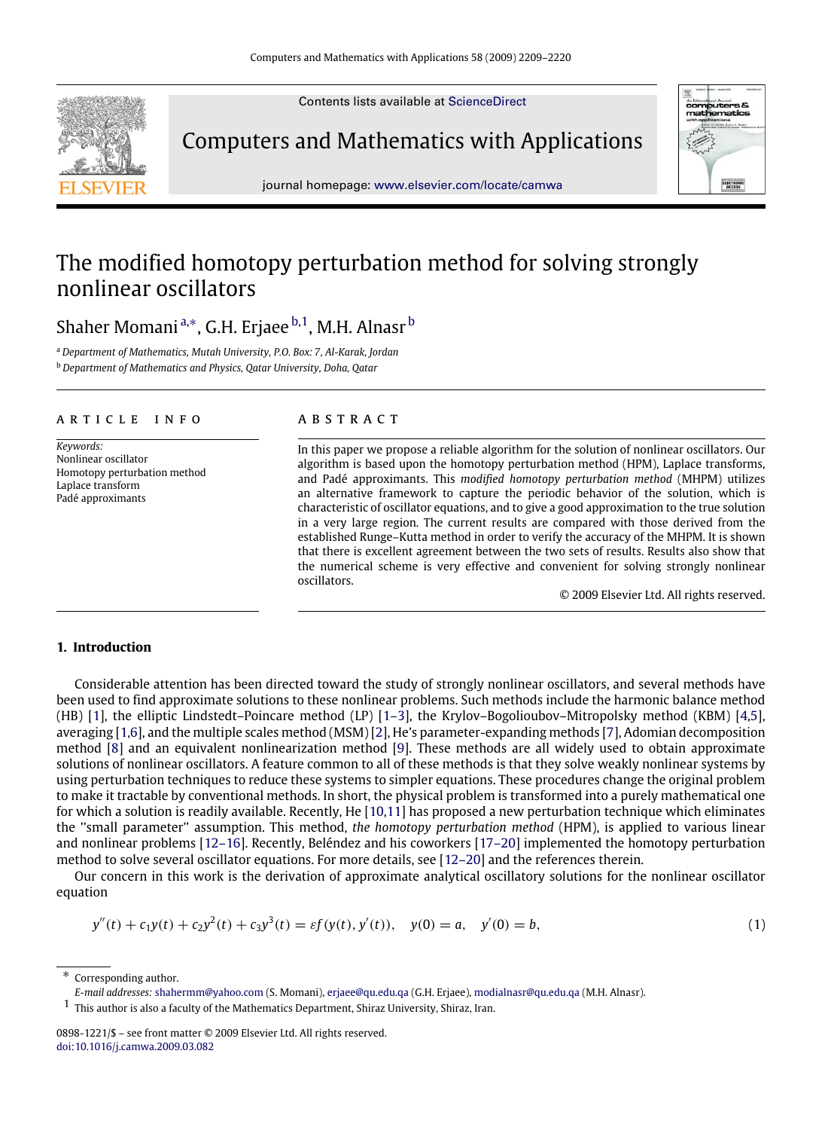Contents lists available at [ScienceDirect](http://www.elsevier.com/locate/camwa)



Computers and Mathematics with Applications



journal homepage: [www.elsevier.com/locate/camwa](http://www.elsevier.com/locate/camwa)

# The modified homotopy perturbation method for solving strongly nonlinear oscillators

Shaher Momani ª,\*, G.H. Erjaee <sup>[b](#page-0-2)[,1](#page-0-3)</sup>, M.H. Alnasr <sup>b</sup>

<span id="page-0-2"></span><span id="page-0-0"></span><sup>a</sup> *Department of Mathematics, Mutah University, P.O. Box: 7, Al-Karak, Jordan* <sup>b</sup> *Department of Mathematics and Physics, Qatar University, Doha, Qatar*

### a r t i c l e i n f o

*Keywords:* Nonlinear oscillator Homotopy perturbation method Laplace transform Padé approximants

# a b s t r a c t

In this paper we propose a reliable algorithm for the solution of nonlinear oscillators. Our algorithm is based upon the homotopy perturbation method (HPM), Laplace transforms, and Padé approximants. This *modified homotopy perturbation method* (MHPM) utilizes an alternative framework to capture the periodic behavior of the solution, which is characteristic of oscillator equations, and to give a good approximation to the true solution in a very large region. The current results are compared with those derived from the established Runge–Kutta method in order to verify the accuracy of the MHPM. It is shown that there is excellent agreement between the two sets of results. Results also show that the numerical scheme is very effective and convenient for solving strongly nonlinear oscillators.

<span id="page-0-4"></span>© 2009 Elsevier Ltd. All rights reserved.

#### **1. Introduction**

Considerable attention has been directed toward the study of strongly nonlinear oscillators, and several methods have been used to find approximate solutions to these nonlinear problems. Such methods include the harmonic balance method (HB) [\[1\]](#page-11-0), the elliptic Lindstedt–Poincare method (LP) [\[1–3\]](#page-11-0), the Krylov–Bogolioubov–Mitropolsky method (KBM) [\[4,](#page-11-1)[5\]](#page-11-2), averaging [\[1,](#page-11-0)[6\]](#page-11-3), and the multiple scales method (MSM) [\[2\]](#page-11-4), He's parameter-expanding methods [\[7\]](#page-11-5), Adomian decomposition method [\[8\]](#page-11-6) and an equivalent nonlinearization method [\[9\]](#page-11-7). These methods are all widely used to obtain approximate solutions of nonlinear oscillators. A feature common to all of these methods is that they solve weakly nonlinear systems by using perturbation techniques to reduce these systems to simpler equations. These procedures change the original problem to make it tractable by conventional methods. In short, the physical problem is transformed into a purely mathematical one for which a solution is readily available. Recently, He [\[10](#page-11-8)[,11\]](#page-11-9) has proposed a new perturbation technique which eliminates the ''small parameter'' assumption. This method, *the homotopy perturbation method* (HPM), is applied to various linear and nonlinear problems [\[12–16\]](#page-11-10). Recently, Beléndez and his coworkers [\[17–20\]](#page-11-11) implemented the homotopy perturbation method to solve several oscillator equations. For more details, see [\[12–20\]](#page-11-10) and the references therein.

Our concern in this work is the derivation of approximate analytical oscillatory solutions for the nonlinear oscillator equation

$$
y''(t) + c_1 y(t) + c_2 y^2(t) + c_3 y^3(t) = \varepsilon f(y(t), y'(t)), \quad y(0) = a, \quad y'(0) = b,
$$
\n(1)

<span id="page-0-1"></span>Corresponding author.

<span id="page-0-3"></span>1 This author is also a faculty of the Mathematics Department, Shiraz University, Shiraz, Iran.

*E-mail addresses:* [shahermm@yahoo.com](mailto:shahermm@yahoo.com) (S. Momani), [erjaee@qu.edu.qa](mailto:erjaee@qu.edu.qa) (G.H. Erjaee), [modialnasr@qu.edu.qa](mailto:modialnasr@qu.edu.qa) (M.H. Alnasr).

<sup>0898-1221/\$ –</sup> see front matter © 2009 Elsevier Ltd. All rights reserved. [doi:10.1016/j.camwa.2009.03.082](http://dx.doi.org/10.1016/j.camwa.2009.03.082)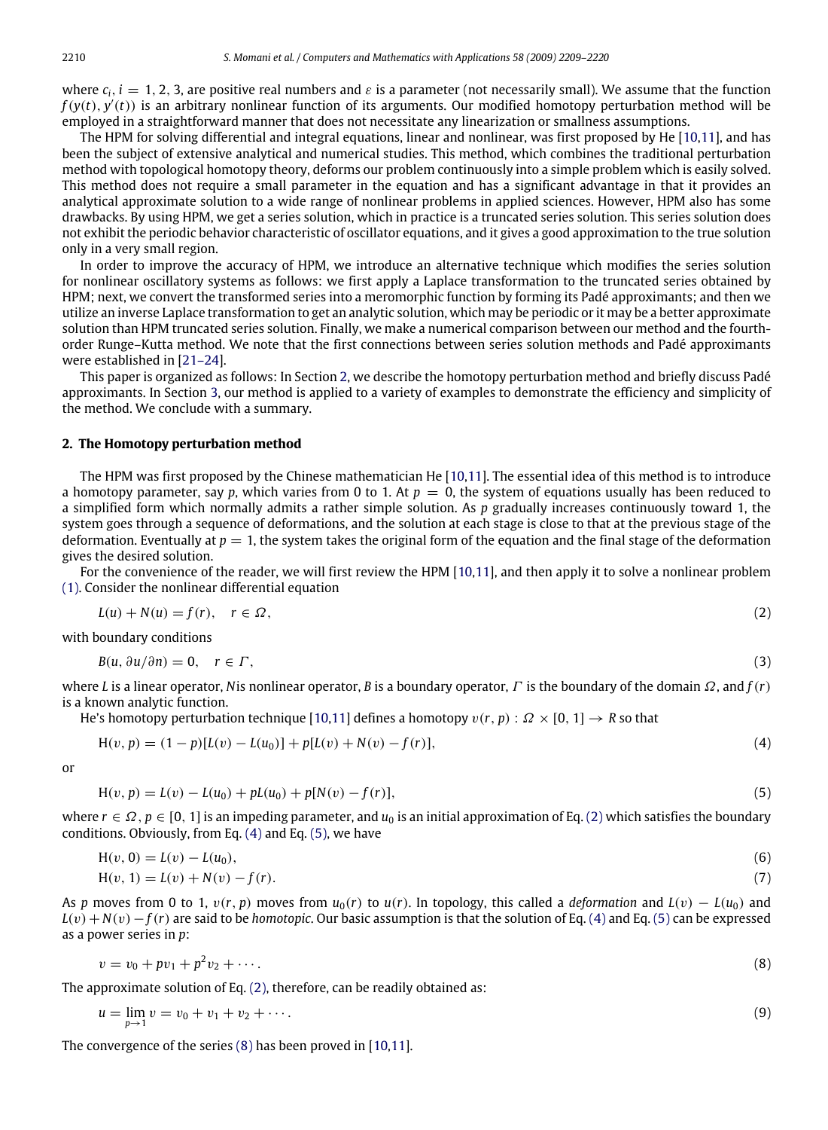where  $c_i$ ,  $i = 1, 2, 3$ , are positive real numbers and  $\varepsilon$  is a parameter (not necessarily small). We assume that the function  $f(y(t), y'(t))$  is an arbitrary nonlinear function of its arguments. Our modified homotopy perturbation method will be employed in a straightforward manner that does not necessitate any linearization or smallness assumptions.

The HPM for solving differential and integral equations, linear and nonlinear, was first proposed by He [\[10,](#page-11-8)[11\]](#page-11-9), and has been the subject of extensive analytical and numerical studies. This method, which combines the traditional perturbation method with topological homotopy theory, deforms our problem continuously into a simple problem which is easily solved. This method does not require a small parameter in the equation and has a significant advantage in that it provides an analytical approximate solution to a wide range of nonlinear problems in applied sciences. However, HPM also has some drawbacks. By using HPM, we get a series solution, which in practice is a truncated series solution. This series solution does not exhibit the periodic behavior characteristic of oscillator equations, and it gives a good approximation to the true solution only in a very small region.

In order to improve the accuracy of HPM, we introduce an alternative technique which modifies the series solution for nonlinear oscillatory systems as follows: we first apply a Laplace transformation to the truncated series obtained by HPM; next, we convert the transformed series into a meromorphic function by forming its Padé approximants; and then we utilize an inverse Laplace transformation to get an analytic solution, which may be periodic or it may be a better approximate solution than HPM truncated series solution. Finally, we make a numerical comparison between our method and the fourthorder Runge–Kutta method. We note that the first connections between series solution methods and Padé approximants were established in [\[21–24\]](#page-11-12).

This paper is organized as follows: In Section [2,](#page-1-0) we describe the homotopy perturbation method and briefly discuss Padé approximants. In Section [3,](#page-3-0) our method is applied to a variety of examples to demonstrate the efficiency and simplicity of the method. We conclude with a summary.

# <span id="page-1-0"></span>**2. The Homotopy perturbation method**

The HPM was first proposed by the Chinese mathematician He [\[10](#page-11-8)[,11\]](#page-11-9). The essential idea of this method is to introduce a homotopy parameter, say *p*, which varies from 0 to 1. At  $p = 0$ , the system of equations usually has been reduced to a simplified form which normally admits a rather simple solution. As *p* gradually increases continuously toward 1, the system goes through a sequence of deformations, and the solution at each stage is close to that at the previous stage of the deformation. Eventually at  $p = 1$ , the system takes the original form of the equation and the final stage of the deformation gives the desired solution.

For the convenience of the reader, we will first review the HPM [\[10,](#page-11-8)[11\]](#page-11-9), and then apply it to solve a nonlinear problem [\(1\).](#page-0-4) Consider the nonlinear differential equation

<span id="page-1-1"></span>
$$
L(u) + N(u) = f(r), \quad r \in \Omega,
$$
\n<sup>(2)</sup>

with boundary conditions

$$
B(u, \partial u/\partial n) = 0, \quad r \in \Gamma,
$$
\n<sup>(3)</sup>

where *L* is a linear operator, *N*is nonlinear operator, *B* is a boundary operator, Γ is the boundary of the domain Ω, and *f*(*r*) is a known analytic function.

He's homotopy perturbation technique [\[10,](#page-11-8)[11\]](#page-11-9) defines a homotopy  $v(r, p)$  :  $\Omega \times [0, 1] \rightarrow R$  so that

$$
H(v, p) = (1 - p)[L(v) - L(u_0)] + p[L(v) + N(v) - f(r)],
$$
\n(4)

or

<span id="page-1-3"></span><span id="page-1-2"></span>
$$
H(v, p) = L(v) - L(u_0) + pL(u_0) + p[N(v) - f(r)],
$$
\n(5)

where  $r \in \Omega$ ,  $p \in [0, 1]$  is an impeding parameter, and  $u_0$  is an initial approximation of Eq. [\(2\)](#page-1-1) which satisfies the boundary conditions. Obviously, from Eq. [\(4\)](#page-1-2) and Eq. [\(5\),](#page-1-3) we have

$$
H(v, 0) = L(v) - L(u_0),
$$
\n(6)

$$
H(v, 1) = L(v) + N(v) - f(r).
$$
\n(7)

As *p* moves from 0 to 1,  $v(r, p)$  moves from  $u_0(r)$  to  $u(r)$ . In topology, this called a *deformation* and  $L(v) - L(u_0)$  and  $L(v) + N(v) - f(r)$  are said to be *homotopic*. Our basic assumption is that the solution of Eq. [\(4\)](#page-1-2) and Eq. [\(5\)](#page-1-3) can be expressed as a power series in *p*:

<span id="page-1-4"></span>
$$
v = v_0 + p v_1 + p^2 v_2 + \cdots
$$
 (8)

The approximate solution of Eq. [\(2\),](#page-1-1) therefore, can be readily obtained as:

$$
u = \lim_{p \to 1} v = v_0 + v_1 + v_2 + \cdots
$$
 (9)

The convergence of the series [\(8\)](#page-1-4) has been proved in [\[10](#page-11-8)[,11\]](#page-11-9).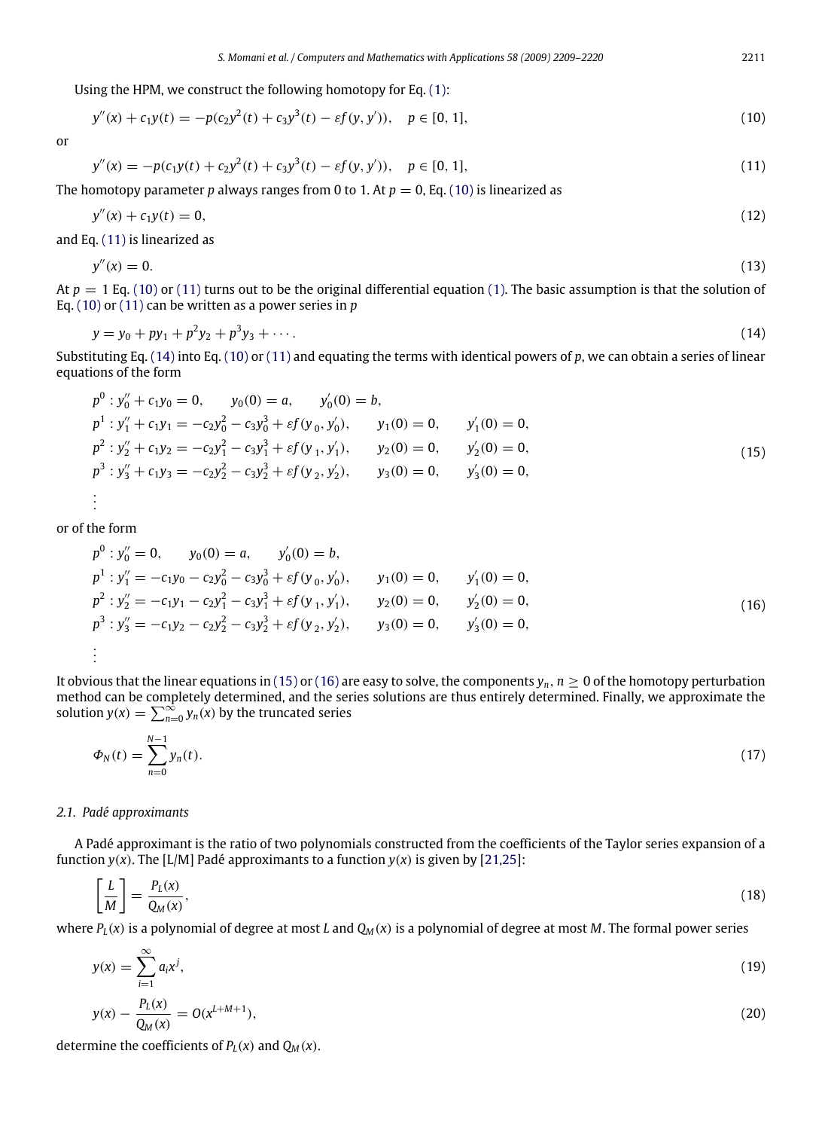$$
y''(x) + c_1y(t) = -p(c_2y^2(t) + c_3y^3(t) - \varepsilon f(y, y')), \quad p \in [0, 1],
$$
\n(10)

or

<span id="page-2-1"></span><span id="page-2-0"></span>
$$
y''(x) = -p(c_1y(t) + c_2y^2(t) + c_3y^3(t) - \varepsilon f(y, y')), \quad p \in [0, 1],
$$
\n(11)

The homotopy parameter *p* always ranges from 0 to 1. At  $p = 0$ , Eq. [\(10\)](#page-2-0) is linearized as

$$
y''(x) + c_1 y(t) = 0,\t\t(12)
$$

and Eq. [\(11\)](#page-2-1) is linearized as

$$
y''(x) = 0.\tag{13}
$$

At  $p = 1$  Eq. [\(10\)](#page-2-0) or [\(11\)](#page-2-1) turns out to be the original differential equation [\(1\).](#page-0-4) The basic assumption is that the solution of Eq. [\(10\)](#page-2-0) or [\(11\)](#page-2-1) can be written as a power series in *p*

<span id="page-2-2"></span>
$$
y = y_0 + py_1 + p^2 y_2 + p^3 y_3 + \cdots
$$
 (14)

Substituting Eq. [\(14\)](#page-2-2) into Eq. [\(10\)](#page-2-0) or [\(11\)](#page-2-1) and equating the terms with identical powers of *p*, we can obtain a series of linear equations of the form

<span id="page-2-3"></span>
$$
p^{0}: y_{0}'' + c_{1}y_{0} = 0, \t y_{0}(0) = a, \t y_{0}'(0) = b,
$$
  
\n
$$
p^{1}: y_{1}'' + c_{1}y_{1} = -c_{2}y_{0}^{2} - c_{3}y_{0}^{3} + \varepsilon f(y_{0}, y_{0}'), \t y_{1}(0) = 0, \t y_{1}'(0) = 0,
$$
  
\n
$$
p^{2}: y_{2}'' + c_{1}y_{2} = -c_{2}y_{1}^{2} - c_{3}y_{1}^{3} + \varepsilon f(y_{1}, y_{1}'), \t y_{2}(0) = 0, \t y_{2}'(0) = 0,
$$
  
\n
$$
p^{3}: y_{3}'' + c_{1}y_{3} = -c_{2}y_{2}^{2} - c_{3}y_{2}^{3} + \varepsilon f(y_{2}, y_{2}'), \t y_{3}(0) = 0, \t y_{3}'(0) = 0,
$$
  
\n
$$
\vdots
$$
 (15)

or of the form

<span id="page-2-4"></span>
$$
p^{0}: y_{0}'' = 0, \t y_{0}(0) = a, \t y_{0}'(0) = b,
$$
  
\n
$$
p^{1}: y_{1}'' = -c_{1}y_{0} - c_{2}y_{0}^{2} - c_{3}y_{0}^{3} + \varepsilon f(y_{0}, y_{0}'), \t y_{1}(0) = 0, \t y_{1}'(0) = 0,
$$
  
\n
$$
p^{2}: y_{2}'' = -c_{1}y_{1} - c_{2}y_{1}^{2} - c_{3}y_{1}^{3} + \varepsilon f(y_{1}, y_{1}'), \t y_{2}(0) = 0, \t y_{2}'(0) = 0,
$$
  
\n
$$
p^{3}: y_{3}'' = -c_{1}y_{2} - c_{2}y_{2}^{2} - c_{3}y_{2}^{3} + \varepsilon f(y_{2}, y_{2}'), \t y_{3}(0) = 0, \t y_{3}'(0) = 0,
$$
  
\n
$$
\vdots
$$
 (16)

It obvious that the linear equations in [\(15\)](#page-2-3) or [\(16\)](#page-2-4) are easy to solve, the components  $y_n$ ,  $n \geq 0$  of the homotopy perturbation method can be completely determined, and the series solutions are thus entirely determined. Finally, we approximate the solution  $y(x) = \sum_{n=0}^{\infty} y_n(x)$  by the truncated series

$$
\Phi_N(t) = \sum_{n=0}^{N-1} y_n(t). \tag{17}
$$

### *2.1. Padé approximants*

A Padé approximant is the ratio of two polynomials constructed from the coefficients of the Taylor series expansion of a function  $y(x)$ . The [L/M] Padé approximants to a function  $y(x)$  is given by [\[21](#page-11-12)[,25\]](#page-11-13):

$$
\left[\frac{L}{M}\right] = \frac{P_L(x)}{Q_M(x)},\tag{18}
$$

where  $P_L(x)$  is a polynomial of degree at most *L* and  $Q_M(x)$  is a polynomial of degree at most *M*. The formal power series

$$
y(x) = \sum_{i=1}^{\infty} a_i x^i,
$$
\n(19)

<span id="page-2-5"></span>
$$
y(x) - \frac{P_L(x)}{Q_M(x)} = O(x^{L+M+1}),
$$
\n(20)

determine the coefficients of  $P_L(x)$  and  $Q_M(x)$ .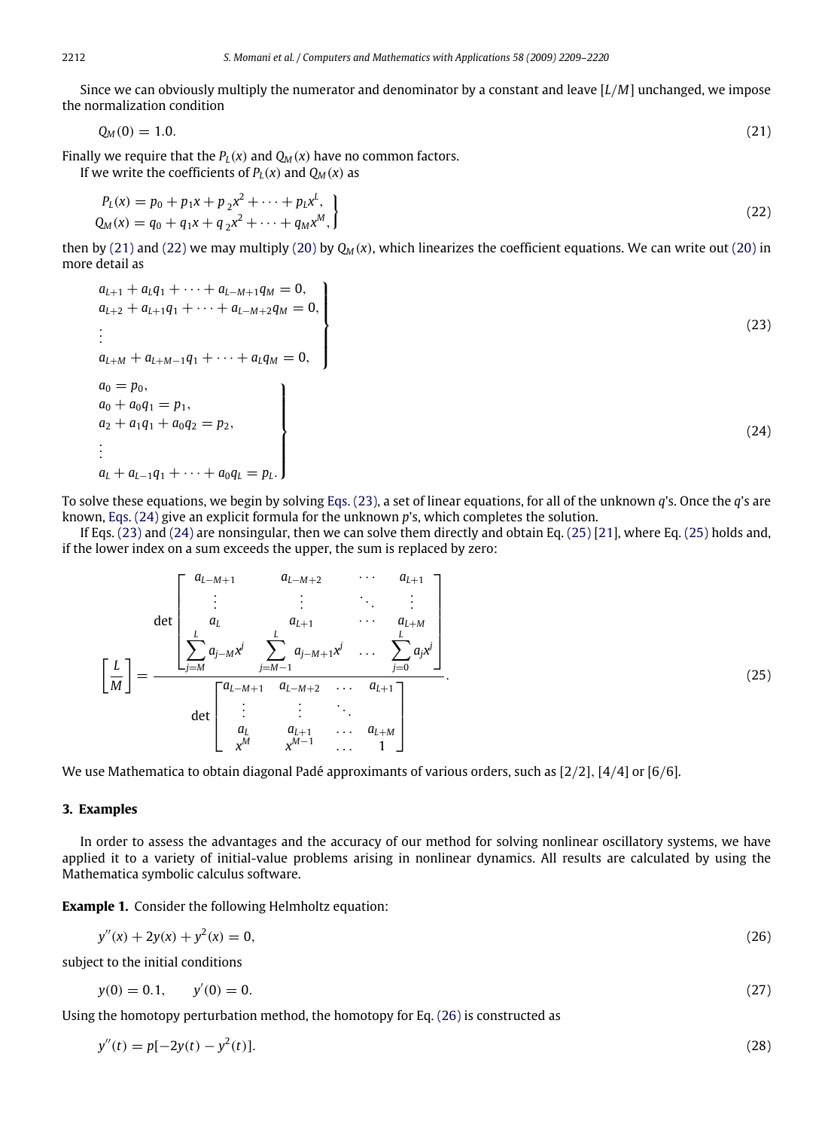Since we can obviously multiply the numerator and denominator by a constant and leave [*L*/*M*] unchanged, we impose the normalization condition

<span id="page-3-2"></span><span id="page-3-1"></span>
$$
Q_M(0) = 1.0. \tag{21}
$$

Finally we require that the  $P_L(x)$  and  $Q_M(x)$  have no common factors. If we write the coefficients of  $P<sub>L</sub>(x)$  and  $Q<sub>M</sub>(x)$  as

$$
P_L(x) = p_0 + p_1 x + p_2 x^2 + \dots + p_L x^L,
$$
  
\n
$$
Q_M(x) = q_0 + q_1 x + q_2 x^2 + \dots + q_M x^M,
$$
\n(22)

then by [\(21\)](#page-3-1) and [\(22\)](#page-3-2) we may multiply [\(20\)](#page-2-5) by *Q<sup>M</sup>* (*x*), which linearizes the coefficient equations. We can write out [\(20\)](#page-2-5) in more detail as

<span id="page-3-4"></span><span id="page-3-3"></span>
$$
a_{L+1} + a_L q_1 + \cdots + a_{L-M+1} q_M = 0,\na_{L+2} + a_{L+1} q_1 + \cdots + a_{L-M+2} q_M = 0,\n\vdots\na_{L+M} + a_{L+M-1} q_1 + \cdots + a_L q_M = 0,\na_0 = p_0,\na_0 + a_0 q_1 = p_1,\na_2 + a_1 q_1 + a_0 q_2 = p_2,\n\vdots\na_L + a_{L-1} q_1 + \cdots + a_0 q_L = p_L.
$$
\n(24)

To solve these equations, we begin by solving [Eqs. \(23\),](#page-3-3) a set of linear equations, for all of the unknown *q*'s. Once the *q*'s are known, [Eqs. \(24\)](#page-3-4) give an explicit formula for the unknown *p*'s, which completes the solution.

If Eqs. [\(23\)](#page-3-3) and [\(24\)](#page-3-4) are nonsingular, then we can solve them directly and obtain Eq. [\(25\)](#page-3-5) [\[21\]](#page-11-12), where Eq. [\(25\)](#page-3-5) holds and, if the lower index on a sum exceeds the upper, the sum is replaced by zero:

<span id="page-3-5"></span>
$$
\left[\frac{L}{M}\right] = \frac{\begin{bmatrix} a_{L-M+1} & a_{L-M+2} & \cdots & a_{L+1} \\ \vdots & \vdots & \ddots & \vdots \\ a_L & a_{L+1} & \cdots & a_{L+M} \\ \frac{L}{M} & \frac{L}{M} & \frac{L}{M-M+1} & \cdots & \frac{L}{M-M+1} \\ \vdots & \vdots & \ddots & \vdots \\ a_L & a_{L-M+1} & a_{L-M+2} & \cdots & a_{L+1} \\ \vdots & \vdots & \ddots & \vdots \\ a_L & a_{L+1} & \cdots & a_{L+M} \\ x^M & x^{M-1} & \cdots & 1 \end{bmatrix}}{(25)}
$$

We use Mathematica to obtain diagonal Padé approximants of various orders, such as [2/2], [4/4] or [6/6].

### <span id="page-3-0"></span>**3. Examples**

In order to assess the advantages and the accuracy of our method for solving nonlinear oscillatory systems, we have applied it to a variety of initial-value problems arising in nonlinear dynamics. All results are calculated by using the Mathematica symbolic calculus software.

**Example 1.** Consider the following Helmholtz equation:

<span id="page-3-6"></span>
$$
y''(x) + 2y(x) + y^2(x) = 0,
$$
\n(26)

subject to the initial conditions

<span id="page-3-8"></span><span id="page-3-7"></span>
$$
y(0) = 0.1, \qquad y'(0) = 0. \tag{27}
$$

Using the homotopy perturbation method, the homotopy for Eq. [\(26\)](#page-3-6) is constructed as

$$
y''(t) = p[-2y(t) - y^2(t)].
$$
\n(28)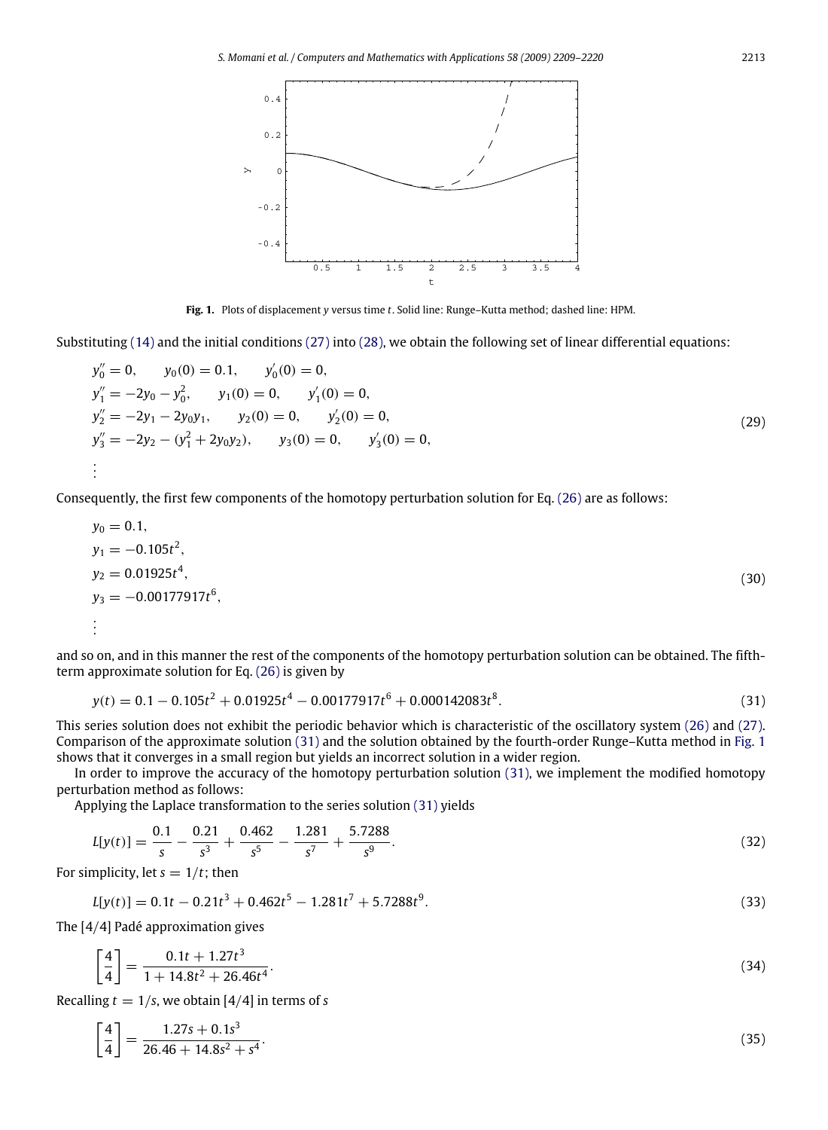<span id="page-4-1"></span>

**Fig. 1.** Plots of displacement *y* versus time *t*. Solid line: Runge–Kutta method; dashed line: HPM.

Substituting [\(14\)](#page-2-2) and the initial conditions [\(27\)](#page-3-7) into [\(28\),](#page-3-8) we obtain the following set of linear differential equations:

$$
y''_0 = 0, \t y_0(0) = 0.1, \t y'_0(0) = 0,\n y''_1 = -2y_0 - y_0^2, \t y_1(0) = 0, \t y'_1(0) = 0,\n y''_2 = -2y_1 - 2y_0y_1, \t y_2(0) = 0, \t y'_2(0) = 0,\n y''_3 = -2y_2 - (y_1^2 + 2y_0y_2), \t y_3(0) = 0, \t y'_3(0) = 0,
$$
\n
$$
\vdots
$$
\n(29)

Consequently, the first few components of the homotopy perturbation solution for Eq. [\(26\)](#page-3-6) are as follows:

$$
y_0 = 0.1,
$$
  
\n
$$
y_1 = -0.105t^2,
$$
  
\n
$$
y_2 = 0.01925t^4,
$$
  
\n
$$
y_3 = -0.00177917t^6,
$$
  
\n
$$
\vdots
$$
 (30)

and so on, and in this manner the rest of the components of the homotopy perturbation solution can be obtained. The fifthterm approximate solution for Eq. [\(26\)](#page-3-6) is given by

<span id="page-4-0"></span>
$$
y(t) = 0.1 - 0.105t^2 + 0.01925t^4 - 0.00177917t^6 + 0.000142083t^8.
$$
\n(31)

This series solution does not exhibit the periodic behavior which is characteristic of the oscillatory system [\(26\)](#page-3-6) and [\(27\).](#page-3-7) Comparison of the approximate solution [\(31\)](#page-4-0) and the solution obtained by the fourth-order Runge–Kutta method in [Fig. 1](#page-4-1) shows that it converges in a small region but yields an incorrect solution in a wider region.

In order to improve the accuracy of the homotopy perturbation solution [\(31\),](#page-4-0) we implement the modified homotopy perturbation method as follows:

Applying the Laplace transformation to the series solution [\(31\)](#page-4-0) yields

$$
L[y(t)] = \frac{0.1}{s} - \frac{0.21}{s^3} + \frac{0.462}{s^5} - \frac{1.281}{s^7} + \frac{5.7288}{s^9}.
$$
\n(32)

For simplicity, let  $s = 1/t$ ; then

$$
L[y(t)] = 0.1t - 0.21t^3 + 0.462t^5 - 1.281t^7 + 5.7288t^9.
$$
\n(33)

The [4/4] Padé approximation gives

<span id="page-4-2"></span>
$$
\left[\frac{4}{4}\right] = \frac{0.1t + 1.27t^3}{1 + 14.8t^2 + 26.46t^4}.\tag{34}
$$

Recalling  $t = 1/s$ , we obtain [4/4] in terms of *s* 

$$
\left[\frac{4}{4}\right] = \frac{1.27s + 0.1s^3}{26.46 + 14.8s^2 + s^4}.
$$
\n(35)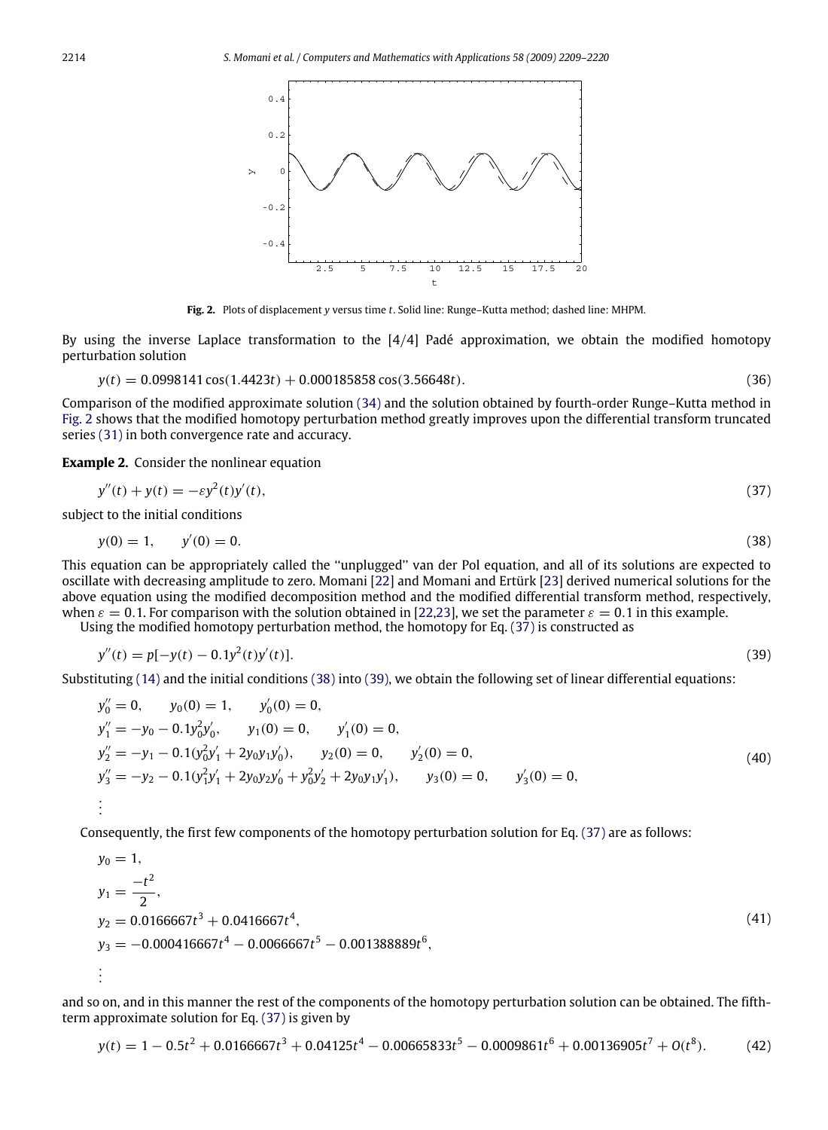<span id="page-5-0"></span>

<span id="page-5-2"></span><span id="page-5-1"></span>**Fig. 2.** Plots of displacement *y* versus time *t*. Solid line: Runge–Kutta method; dashed line: MHPM.

By using the inverse Laplace transformation to the [4/4] Padé approximation, we obtain the modified homotopy perturbation solution

$$
y(t) = 0.0998141 \cos(1.4423t) + 0.000185858 \cos(3.56648t).
$$
 (36)

Comparison of the modified approximate solution [\(34\)](#page-4-2) and the solution obtained by fourth-order Runge–Kutta method in [Fig. 2](#page-5-0) shows that the modified homotopy perturbation method greatly improves upon the differential transform truncated series [\(31\)](#page-4-0) in both convergence rate and accuracy.

**Example 2.** Consider the nonlinear equation

$$
y''(t) + y(t) = -\varepsilon y^2(t)y'(t),
$$
\n(37)

subject to the initial conditions

$$
y(0) = 1, \qquad y'(0) = 0. \tag{38}
$$

This equation can be appropriately called the ''unplugged'' van der Pol equation, and all of its solutions are expected to oscillate with decreasing amplitude to zero. Momani [\[22\]](#page-11-14) and Momani and Ertürk [\[23\]](#page-11-15) derived numerical solutions for the above equation using the modified decomposition method and the modified differential transform method, respectively, when  $\varepsilon = 0.1$ . For comparison with the solution obtained in [\[22,](#page-11-14)[23\]](#page-11-15), we set the parameter  $\varepsilon = 0.1$  in this example.

Using the modified homotopy perturbation method, the homotopy for Eq. [\(37\)](#page-5-1) is constructed as

<span id="page-5-3"></span>
$$
y''(t) = p[-y(t) - 0.1y^{2}(t)y'(t)].
$$
\n(39)

Substituting [\(14\)](#page-2-2) and the initial conditions [\(38\)](#page-5-2) into [\(39\),](#page-5-3) we obtain the following set of linear differential equations:

$$
y''_0 = 0, \t y_0(0) = 1, \t y'_0(0) = 0,
$$
  
\n
$$
y''_1 = -y_0 - 0.1y_0^2y'_0, \t y_1(0) = 0, \t y'_1(0) = 0,
$$
  
\n
$$
y''_2 = -y_1 - 0.1(y_0^2y'_1 + 2y_0y_1y'_0), \t y_2(0) = 0, \t y'_2(0) = 0,
$$
  
\n
$$
y''_3 = -y_2 - 0.1(y_1^2y'_1 + 2y_0y_2y'_0 + y_0^2y'_2 + 2y_0y_1y'_1), \t y_3(0) = 0, \t y'_3(0) = 0,
$$
  
\n
$$
\vdots
$$
 (40)

Consequently, the first few components of the homotopy perturbation solution for Eq. [\(37\)](#page-5-1) are as follows:

$$
y_0 = 1,
$$
  
\n
$$
y_1 = \frac{-t^2}{2},
$$
  
\n
$$
y_2 = 0.0166667t^3 + 0.0416667t^4,
$$
  
\n
$$
y_3 = -0.000416667t^4 - 0.0066667t^5 - 0.001388889t^6,
$$
  
\n
$$
\vdots
$$
 (41)

and so on, and in this manner the rest of the components of the homotopy perturbation solution can be obtained. The fifthterm approximate solution for Eq. [\(37\)](#page-5-1) is given by

<span id="page-5-4"></span>
$$
y(t) = 1 - 0.5t^2 + 0.0166667t^3 + 0.04125t^4 - 0.00665833t^5 - 0.0009861t^6 + 0.00136905t^7 + O(t^8). \tag{42}
$$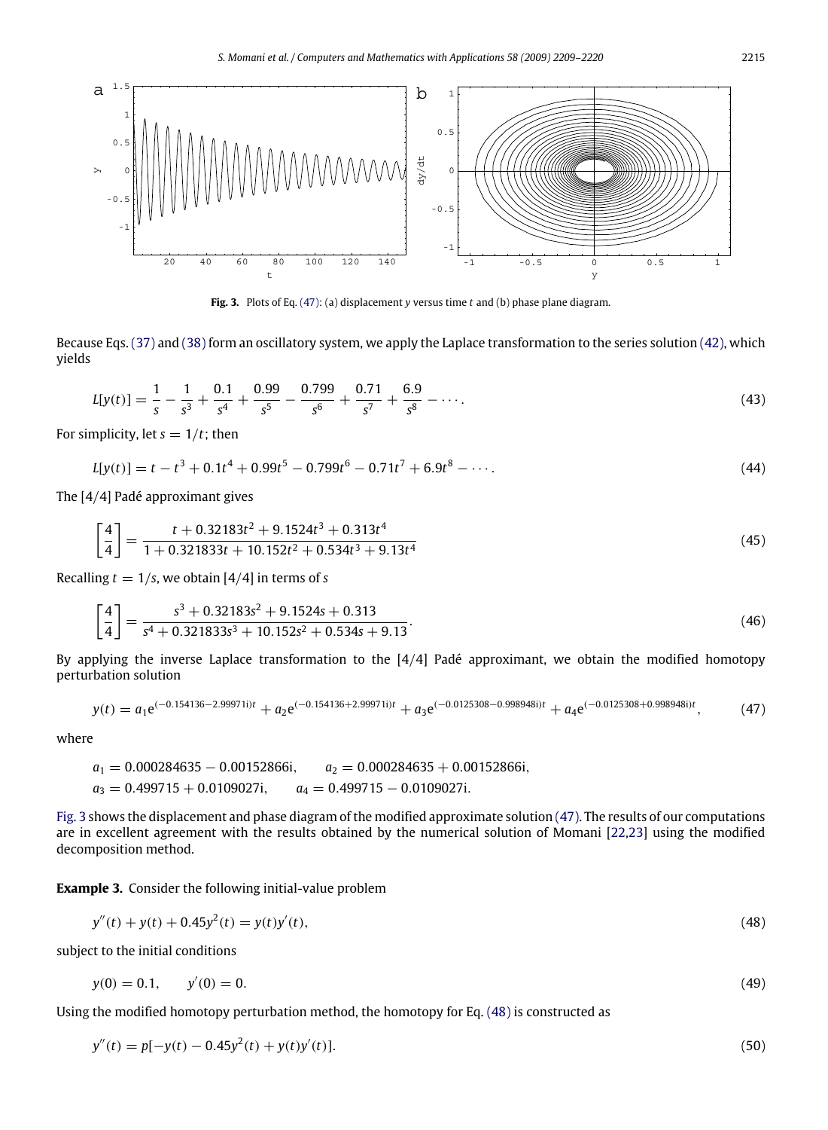<span id="page-6-1"></span>

**Fig. 3.** Plots of Eq. [\(47\):](#page-6-0) (a) displacement *y* versus time *t* and (b) phase plane diagram.

Because Eqs. [\(37\)](#page-5-1) and [\(38\)](#page-5-2) form an oscillatory system, we apply the Laplace transformation to the series solution [\(42\),](#page-5-4) which yields

$$
L[y(t)] = \frac{1}{s} - \frac{1}{s^3} + \frac{0.1}{s^4} + \frac{0.99}{s^5} - \frac{0.799}{s^6} + \frac{0.71}{s^7} + \frac{6.9}{s^8} - \cdots
$$
 (43)

For simplicity, let  $s = 1/t$ ; then

$$
L[y(t)] = t - t3 + 0.1t4 + 0.99t5 - 0.799t6 - 0.71t7 + 6.9t8 - \cdots
$$
 (44)

The [4/4] Padé approximant gives

$$
\left[\frac{4}{4}\right] = \frac{t + 0.32183t^2 + 9.1524t^3 + 0.313t^4}{1 + 0.321833t + 10.152t^2 + 0.534t^3 + 9.13t^4}
$$
\n(45)

Recalling  $t = 1/s$ , we obtain [4/4] in terms of *s* 

$$
\left[\frac{4}{4}\right] = \frac{s^3 + 0.32183s^2 + 9.1524s + 0.313}{s^4 + 0.321833s^3 + 10.152s^2 + 0.534s + 9.13}.\tag{46}
$$

By applying the inverse Laplace transformation to the  $[4/4]$  Padé approximant, we obtain the modified homotopy perturbation solution

<span id="page-6-0"></span>
$$
y(t) = a_1 e^{(-0.154136 - 2.99971i)t} + a_2 e^{(-0.154136 + 2.99971i)t} + a_3 e^{(-0.0125308 - 0.998948i)t} + a_4 e^{(-0.0125308 + 0.998948i)t},
$$
 (47)

where

$$
a_1 = 0.000284635 - 0.00152866i, \qquad a_2 = 0.000284635 + 0.00152866i, \qquad a_3 = 0.499715 + 0.0109027i, \qquad a_4 = 0.499715 - 0.0109027i.
$$

[Fig. 3](#page-6-1) shows the displacement and phase diagram of the modified approximate solution [\(47\).](#page-6-0) The results of our computations are in excellent agreement with the results obtained by the numerical solution of Momani [\[22](#page-11-14)[,23\]](#page-11-15) using the modified decomposition method.

**Example 3.** Consider the following initial-value problem

<span id="page-6-2"></span>
$$
y''(t) + y(t) + 0.45y^{2}(t) = y(t)y'(t),
$$
\n(48)

subject to the initial conditions

<span id="page-6-3"></span>
$$
y(0) = 0.1, \qquad y'(0) = 0. \tag{49}
$$

Using the modified homotopy perturbation method, the homotopy for Eq. [\(48\)](#page-6-2) is constructed as

$$
y''(t) = p[-y(t) - 0.45y^{2}(t) + y(t)y'(t)].
$$
\n(50)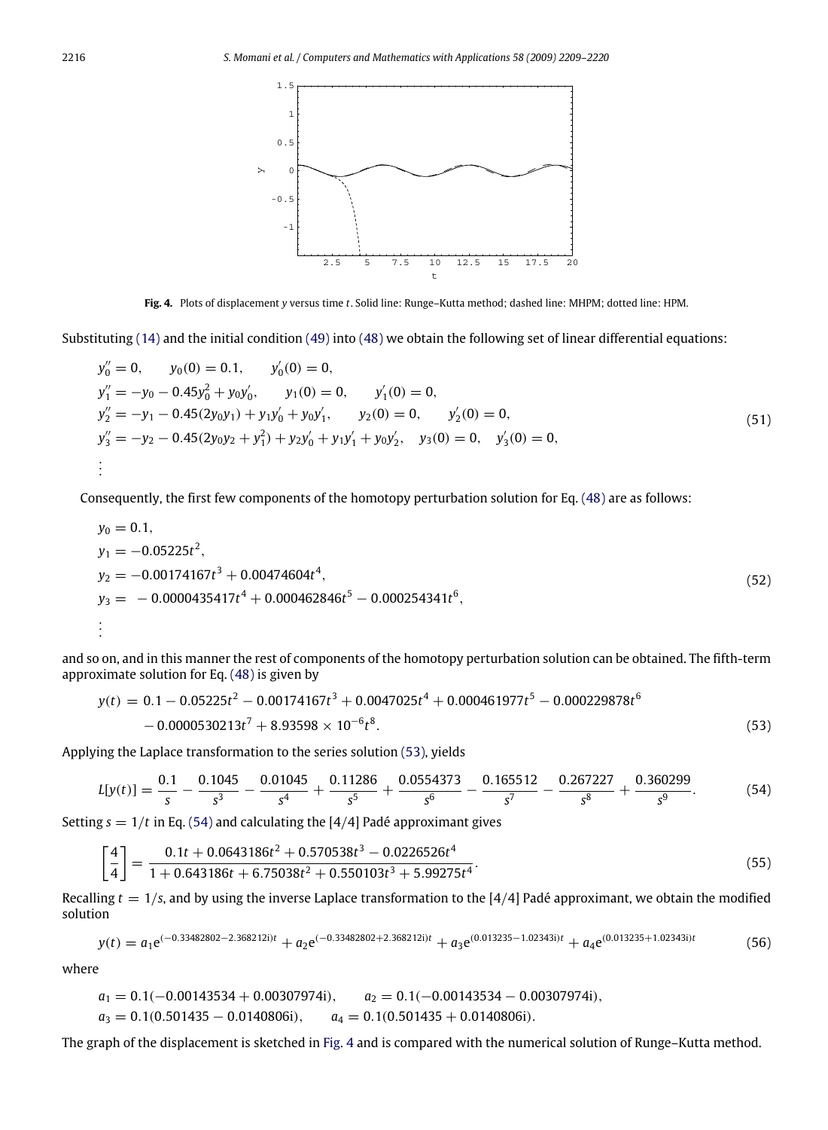<span id="page-7-2"></span>

**Fig. 4.** Plots of displacement *y* versus time *t*. Solid line: Runge–Kutta method; dashed line: MHPM; dotted line: HPM.

Substituting  $(14)$  and the initial condition  $(49)$  into  $(48)$  we obtain the following set of linear differential equations:

$$
y''_0 = 0, \t y_0(0) = 0.1, \t y'_0(0) = 0,
$$
  
\n
$$
y''_1 = -y_0 - 0.45y_0^2 + y_0y'_0, \t y_1(0) = 0, \t y'_1(0) = 0,
$$
  
\n
$$
y''_2 = -y_1 - 0.45(2y_0y_1) + y_1y'_0 + y_0y'_1, \t y_2(0) = 0, \t y'_2(0) = 0,
$$
  
\n
$$
y''_3 = -y_2 - 0.45(2y_0y_2 + y_1^2) + y_2y'_0 + y_1y'_1 + y_0y'_2, \t y_3(0) = 0, \t y'_3(0) = 0,
$$
  
\n
$$
\vdots
$$
 (51)

Consequently, the first few components of the homotopy perturbation solution for Eq. [\(48\)](#page-6-2) are as follows:

$$
y_0 = 0.1,
$$
  
\n
$$
y_1 = -0.05225t^2,
$$
  
\n
$$
y_2 = -0.00174167t^3 + 0.00474604t^4,
$$
  
\n
$$
y_3 = -0.0000435417t^4 + 0.000462846t^5 - 0.000254341t^6,
$$
  
\n
$$
\vdots
$$
 (52)

and so on, and in this manner the rest of components of the homotopy perturbation solution can be obtained. The fifth-term approximate solution for Eq. [\(48\)](#page-6-2) is given by

<span id="page-7-0"></span>
$$
y(t) = 0.1 - 0.05225t^2 - 0.00174167t^3 + 0.0047025t^4 + 0.000461977t^5 - 0.000229878t^6 - 0.0000530213t^7 + 8.93598 \times 10^{-6}t^8.
$$
\n
$$
(53)
$$

Applying the Laplace transformation to the series solution [\(53\),](#page-7-0) yields

<span id="page-7-1"></span>
$$
L[y(t)] = \frac{0.1}{s} - \frac{0.1045}{s^3} - \frac{0.01045}{s^4} + \frac{0.11286}{s^5} + \frac{0.0554373}{s^6} - \frac{0.165512}{s^7} - \frac{0.267227}{s^8} + \frac{0.360299}{s^9}.
$$
(54)

Setting  $s = 1/t$  in Eq. [\(54\)](#page-7-1) and calculating the [4/4] Padé approximant gives

$$
\left[\frac{4}{4}\right] = \frac{0.1t + 0.0643186t^2 + 0.570538t^3 - 0.0226526t^4}{1 + 0.643186t + 6.75038t^2 + 0.550103t^3 + 5.99275t^4}.
$$
\n(55)

Recalling  $t = 1/s$ , and by using the inverse Laplace transformation to the  $[4/4]$  Padé approximant, we obtain the modified solution

$$
y(t) = a_1 e^{(-0.33482802 - 2.368212i)t} + a_2 e^{(-0.33482802 + 2.368212i)t} + a_3 e^{(0.013235 - 1.02343i)t} + a_4 e^{(0.013235 + 1.02343i)t}
$$
(56)

where

$$
a_1 = 0.1(-0.00143534 + 0.00307974i), \qquad a_2 = 0.1(-0.00143534 - 0.00307974i),
$$
  
\n
$$
a_3 = 0.1(0.501435 - 0.0140806i), \qquad a_4 = 0.1(0.501435 + 0.0140806i).
$$

The graph of the displacement is sketched in [Fig. 4](#page-7-2) and is compared with the numerical solution of Runge–Kutta method.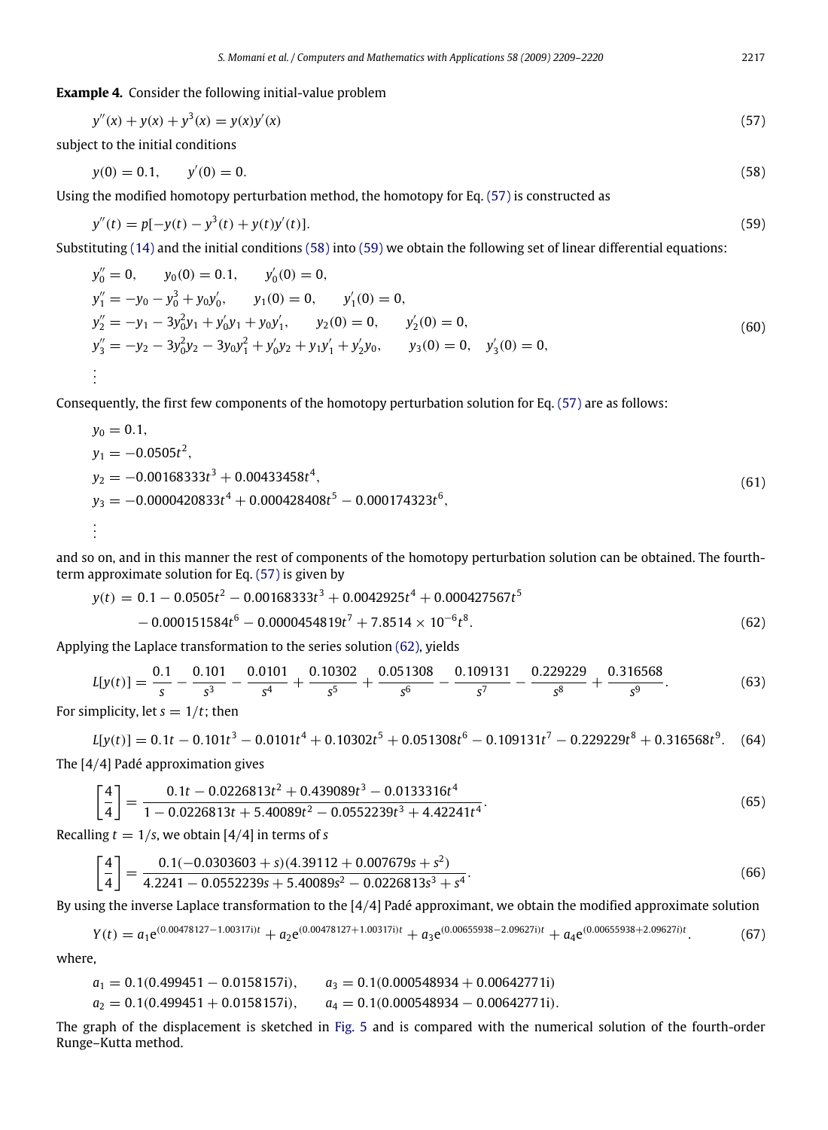**Example 4.** Consider the following initial-value problem

$$
y''(x) + y(x) + y^3(x) = y(x)y'(x)
$$
\n(57)

subject to the initial conditions

<span id="page-8-1"></span><span id="page-8-0"></span>
$$
y(0) = 0.1, \qquad y'(0) = 0. \tag{58}
$$

Using the modified homotopy perturbation method, the homotopy for Eq. [\(57\)](#page-8-0) is constructed as

<span id="page-8-2"></span>
$$
y''(t) = p[-y(t) - y3(t) + y(t)y'(t)].
$$
\n(59)

Substituting [\(14\)](#page-2-2) and the initial conditions [\(58\)](#page-8-1) into [\(59\)](#page-8-2) we obtain the following set of linear differential equations:

<span id="page-8-4"></span>
$$
y''_0 = 0, \t y_0(0) = 0.1, \t y'_0(0) = 0,
$$
  
\n
$$
y''_1 = -y_0 - y_0^3 + y_0y'_0, \t y_1(0) = 0, \t y'_1(0) = 0,
$$
  
\n
$$
y''_2 = -y_1 - 3y_0^2y_1 + y'_0y_1 + y_0y'_1, \t y_2(0) = 0, \t y'_2(0) = 0,
$$
  
\n
$$
y''_3 = -y_2 - 3y_0^2y_2 - 3y_0y_1^2 + y'_0y_2 + y_1y'_1 + y'_2y_0, \t y_3(0) = 0, \t y'_3(0) = 0,
$$
  
\n
$$
\vdots
$$
 (60)

Consequently, the first few components of the homotopy perturbation solution for Eq. [\(57\)](#page-8-0) are as follows:

$$
y_0 = 0.1,
$$
  
\n
$$
y_1 = -0.0505t^2,
$$
  
\n
$$
y_2 = -0.00168333t^3 + 0.00433458t^4,
$$
  
\n
$$
y_3 = -0.0000420833t^4 + 0.000428408t^5 - 0.000174323t^6,
$$
  
\n
$$
\vdots
$$
 (61)

and so on, and in this manner the rest of components of the homotopy perturbation solution can be obtained. The fourthterm approximate solution for Eq. [\(57\)](#page-8-0) is given by

<span id="page-8-3"></span>
$$
y(t) = 0.1 - 0.0505t^2 - 0.00168333t^3 + 0.0042925t^4 + 0.000427567t^5 - 0.000151584t^6 - 0.0000454819t^7 + 7.8514 \times 10^{-6}t^8.
$$
 (62)

Applying the Laplace transformation to the series solution [\(62\),](#page-8-3) yields

$$
L[y(t)] = \frac{0.1}{s} - \frac{0.101}{s^3} - \frac{0.0101}{s^4} + \frac{0.10302}{s^5} + \frac{0.051308}{s^6} - \frac{0.109131}{s^7} - \frac{0.229229}{s^8} + \frac{0.316568}{s^9}.
$$
(63)

For simplicity, let  $s = 1/t$ ; then

$$
L[y(t)] = 0.1t - 0.101t^3 - 0.0101t^4 + 0.10302t^5 + 0.051308t^6 - 0.109131t^7 - 0.229229t^8 + 0.316568t^9.
$$
 (64)  
The [4/4] Padé approximation gives

$$
\left[\frac{4}{4}\right] = \frac{0.1t - 0.0226813t^2 + 0.439089t^3 - 0.0133316t^4}{1 - 0.0226813t + 5.40089t^2 - 0.0552239t^3 + 4.42241t^4}.
$$
\n(65)

Recalling  $t = 1/s$ , we obtain [4/4] in terms of *s* 

$$
\left[\frac{4}{4}\right] = \frac{0.1(-0.0303603 + s)(4.39112 + 0.007679s + s^2)}{4.2241 - 0.0552239s + 5.40089s^2 - 0.0226813s^3 + s^4}.
$$
\n(66)

By using the inverse Laplace transformation to the [4/4] Padé approximant, we obtain the modified approximate solution

$$
Y(t) = a_1 e^{(0.00478127 - 1.00317i)t} + a_2 e^{(0.00478127 + 1.00317i)t} + a_3 e^{(0.00655938 - 2.09627i)t} + a_4 e^{(0.00655938 + 2.09627i)t}.
$$
 (67)

where,

$$
a_1 = 0.1(0.499451 - 0.0158157i),
$$
  $a_3 = 0.1(0.000548934 + 0.00642771i)$   
\n $a_2 = 0.1(0.499451 + 0.0158157i),$   $a_4 = 0.1(0.000548934 - 0.00642771i).$ 

The graph of the displacement is sketched in [Fig. 5](#page-9-0) and is compared with the numerical solution of the fourth-order Runge–Kutta method.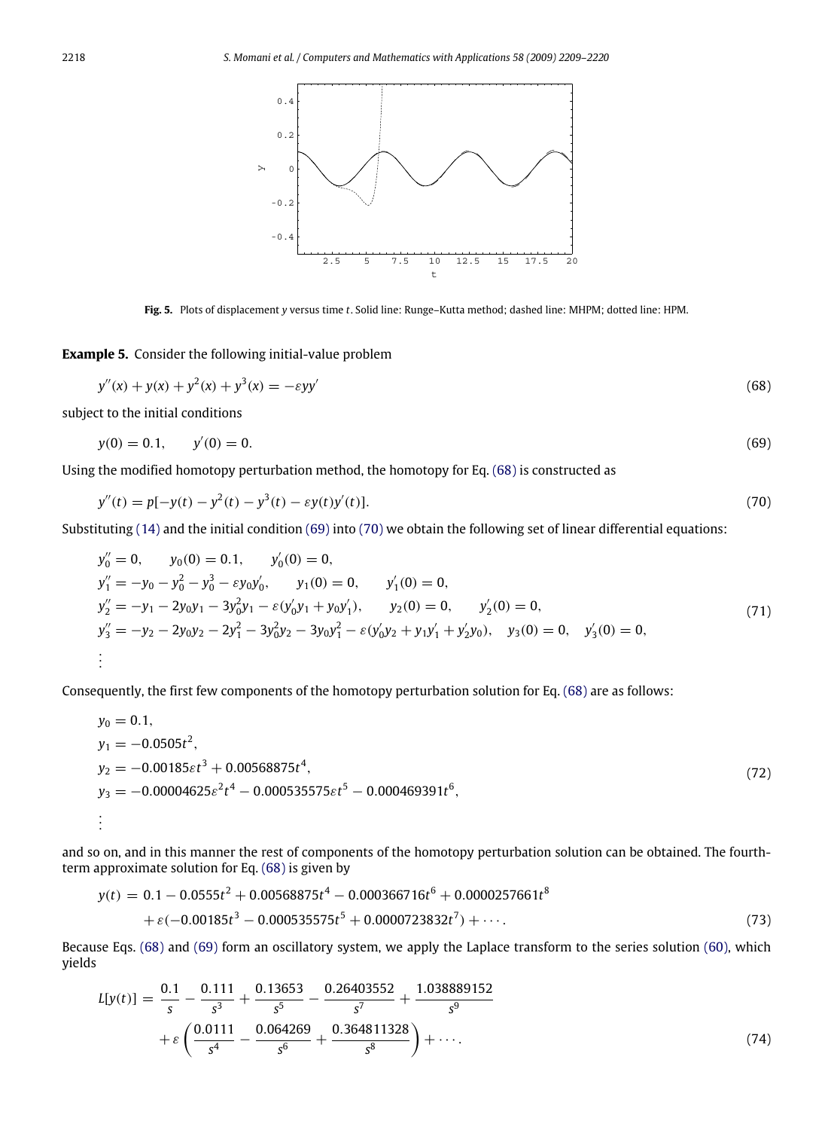<span id="page-9-1"></span><span id="page-9-0"></span>

<span id="page-9-3"></span><span id="page-9-2"></span>**Fig. 5.** Plots of displacement *y* versus time *t*. Solid line: Runge–Kutta method; dashed line: MHPM; dotted line: HPM.

**Example 5.** Consider the following initial-value problem

$$
y''(x) + y(x) + y^2(x) + y^3(x) = -\varepsilon y y'
$$
\n(68)

subject to the initial conditions

$$
y(0) = 0.1, \qquad y'(0) = 0. \tag{69}
$$

Using the modified homotopy perturbation method, the homotopy for Eq. [\(68\)](#page-9-1) is constructed as

$$
y''(t) = p[-y(t) - y^2(t) - y^3(t) - \varepsilon y(t)y'(t)].
$$
\n(70)

Substituting [\(14\)](#page-2-2) and the initial condition [\(69\)](#page-9-2) into [\(70\)](#page-9-3) we obtain the following set of linear differential equations:

$$
y''_0 = 0, \t y_0(0) = 0.1, \t y'_0(0) = 0,
$$
  
\n
$$
y''_1 = -y_0 - y_0^2 - y_0^3 - \varepsilon y_0 y'_0, \t y_1(0) = 0, \t y'_1(0) = 0,
$$
  
\n
$$
y''_2 = -y_1 - 2y_0 y_1 - 3y_0^2 y_1 - \varepsilon (y'_0 y_1 + y_0 y'_1), \t y_2(0) = 0, \t y'_2(0) = 0,
$$
  
\n
$$
y''_3 = -y_2 - 2y_0 y_2 - 2y_1^2 - 3y_0^2 y_2 - 3y_0 y_1^2 - \varepsilon (y'_0 y_2 + y_1 y'_1 + y'_2 y_0), \t y_3(0) = 0, \t y'_3(0) = 0,
$$
  
\n
$$
\vdots
$$
 (71)

Consequently, the first few components of the homotopy perturbation solution for Eq. [\(68\)](#page-9-1) are as follows:

$$
y_0 = 0.1,
$$
  
\n
$$
y_1 = -0.0505t^2,
$$
  
\n
$$
y_2 = -0.00185\epsilon t^3 + 0.00568875t^4,
$$
  
\n
$$
y_3 = -0.00004625\epsilon^2 t^4 - 0.000535575\epsilon t^5 - 0.000469391t^6,
$$
  
\n
$$
\vdots
$$
 (72)

and so on, and in this manner the rest of components of the homotopy perturbation solution can be obtained. The fourthterm approximate solution for Eq. [\(68\)](#page-9-1) is given by

$$
y(t) = 0.1 - 0.0555t2 + 0.00568875t4 - 0.000366716t6 + 0.0000257661t8
$$
  
+ $\varepsilon(-0.00185t3 - 0.000535575t5 + 0.0000723832t7) + \cdots$ . (73)

Because Eqs. [\(68\)](#page-9-1) and [\(69\)](#page-9-2) form an oscillatory system, we apply the Laplace transform to the series solution [\(60\),](#page-8-4) which yields

$$
L[y(t)] = \frac{0.1}{s} - \frac{0.111}{s^3} + \frac{0.13653}{s^5} - \frac{0.26403552}{s^7} + \frac{1.038889152}{s^9} + \varepsilon \left(\frac{0.0111}{s^4} - \frac{0.064269}{s^6} + \frac{0.364811328}{s^8}\right) + \cdots
$$
 (74)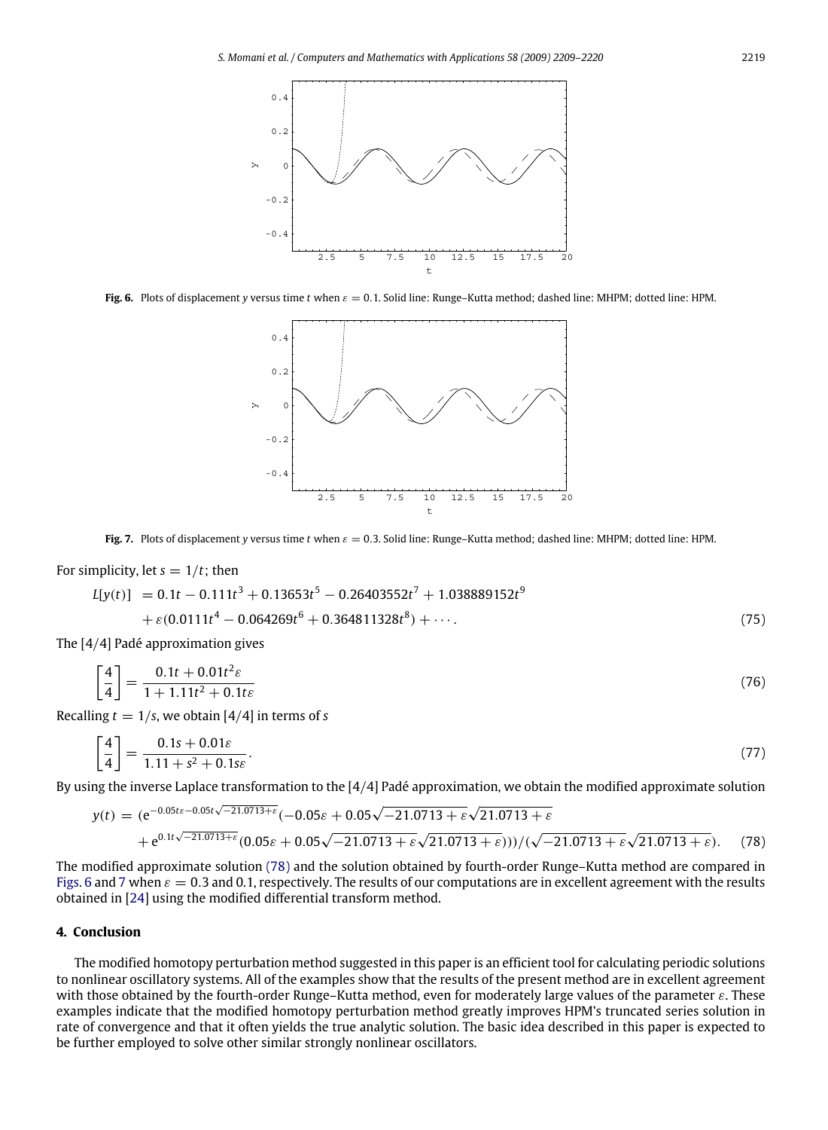<span id="page-10-1"></span>

<span id="page-10-2"></span>**Fig. 6.** Plots of displacement *y* versus time *t* when  $\varepsilon = 0.1$ . Solid line: Runge–Kutta method; dashed line: MHPM; dotted line: HPM.



**Fig. 7.** Plots of displacement *y* versus time *t* when  $\varepsilon = 0.3$ . Solid line: Runge–Kutta method; dashed line: MHPM; dotted line: HPM.

# For simplicity, let  $s = 1/t$ ; then

$$
L[y(t)] = 0.1t - 0.111t3 + 0.13653t5 - 0.26403552t7 + 1.038889152t9 + \varepsilon(0.0111t4 - 0.064269t6 + 0.364811328t8) + \cdots
$$
 (75)

The [4/4] Padé approximation gives

$$
\left[\frac{4}{4}\right] = \frac{0.1t + 0.01t^2\varepsilon}{1 + 1.11t^2 + 0.1t\varepsilon}
$$
\n(76)

Recalling  $t = 1/s$ , we obtain [4/4] in terms of *s* 

$$
\left[\frac{4}{4}\right] = \frac{0.1s + 0.01\varepsilon}{1.11 + s^2 + 0.1s\varepsilon}.
$$
\n(77)

By using the inverse Laplace transformation to the [4/4] Padé approximation, we obtain the modified approximate solution

<span id="page-10-0"></span>
$$
y(t) = (e^{-0.05t\varepsilon - 0.05t\sqrt{-21.0713+\varepsilon}}(-0.05\varepsilon + 0.05\sqrt{-21.0713+\varepsilon}\sqrt{21.0713+\varepsilon}
$$
  
+  $e^{0.1t\sqrt{-21.0713+\varepsilon}}(0.05\varepsilon + 0.05\sqrt{-21.0713+\varepsilon}\sqrt{21.0713+\varepsilon}))/(\sqrt{-21.0713+\varepsilon}\sqrt{21.0713+\varepsilon}).$  (78)

The modified approximate solution [\(78\)](#page-10-0) and the solution obtained by fourth-order Runge–Kutta method are compared in [Figs. 6](#page-10-1) and [7](#page-10-2) when  $\varepsilon = 0.3$  and 0.1, respectively. The results of our computations are in excellent agreement with the results obtained in [\[24\]](#page-11-16) using the modified differential transform method.

# **4. Conclusion**

The modified homotopy perturbation method suggested in this paper is an efficient tool for calculating periodic solutions to nonlinear oscillatory systems. All of the examples show that the results of the present method are in excellent agreement with those obtained by the fourth-order Runge–Kutta method, even for moderately large values of the parameter  $\varepsilon$ . These examples indicate that the modified homotopy perturbation method greatly improves HPM's truncated series solution in rate of convergence and that it often yields the true analytic solution. The basic idea described in this paper is expected to be further employed to solve other similar strongly nonlinear oscillators.